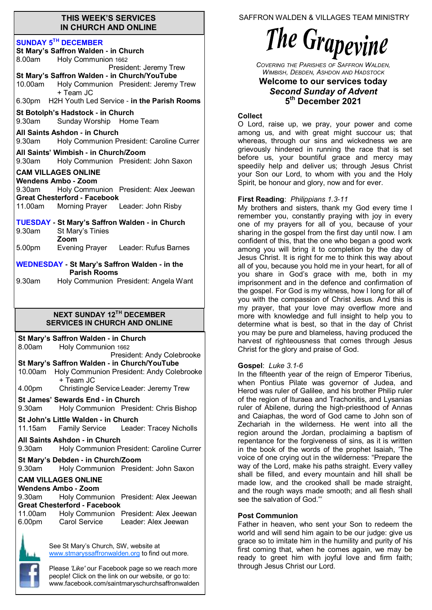#### **THIS WEEK'S SERVICES IN CHURCH AND ONLINE**

#### **SUNDAY 5 TH DECEMBER**

| <b>SUNDAY 5'" DECEMBER</b><br>St Mary's Saffron Walden - in Church     |                                                                                                                |  |  |
|------------------------------------------------------------------------|----------------------------------------------------------------------------------------------------------------|--|--|
| Holy Communion 1662<br>8.00am                                          |                                                                                                                |  |  |
| President: Jeremy Trew<br>St Mary's Saffron Walden - in Church/YouTube |                                                                                                                |  |  |
| 10.00am                                                                | Holy Communion President: Jeremy Trew<br>+ Team JC                                                             |  |  |
| 6.30pm H2H Youth Led Service - in the Parish Rooms                     |                                                                                                                |  |  |
| 9.30am                                                                 | St Botolph's Hadstock - in Church<br>Sunday Worship Home Team                                                  |  |  |
| 9.30am                                                                 | All Saints Ashdon - in Church<br>Holy Communion President: Caroline Currer                                     |  |  |
|                                                                        | All Saints' Wimbish - in Church/Zoom<br>9.30am Holy Communion President: John Saxon                            |  |  |
|                                                                        | <b>CAM VILLAGES ONLINE</b><br><b>Wendens Ambo - Zoom</b>                                                       |  |  |
| 9.30am                                                                 | Holy Communion President: Alex Jeewan<br><b>Great Chesterford - Facebook</b>                                   |  |  |
|                                                                        | 11.00am Morning Prayer Leader: John Risby                                                                      |  |  |
| 9.30am                                                                 | <b>TUESDAY - St Mary's Saffron Walden - in Church</b><br>St Mary's Tinies<br>Zoom                              |  |  |
| 5.00pm                                                                 | Evening Prayer Leader: Rufus Barnes                                                                            |  |  |
| <b>WEDNESDAY - St Mary's Saffron Walden - in the</b>                   |                                                                                                                |  |  |
| 9.30am                                                                 | <b>Parish Rooms</b><br>Holy Communion President: Angela Want                                                   |  |  |
|                                                                        |                                                                                                                |  |  |
|                                                                        |                                                                                                                |  |  |
|                                                                        |                                                                                                                |  |  |
|                                                                        | <b>NEXT SUNDAY 12TH DECEMBER</b><br><b>SERVICES IN CHURCH AND ONLINE</b>                                       |  |  |
|                                                                        | St Mary's Saffron Walden - in Church                                                                           |  |  |
| 8.00am                                                                 | Holy Communion 1662<br>President: Andy Colebrooke                                                              |  |  |
|                                                                        | St Mary's Saffron Walden - in Church/YouTube<br>10.00am Holy Communion President: Andy Colebrooke<br>+ Team JC |  |  |
| 4.00pm                                                                 | Christingle Service Leader: Jeremy Trew                                                                        |  |  |
| 9.30am                                                                 | <b>St James' Sewards End - in Church</b><br>Holy Communion President: Chris Bishop                             |  |  |
| 11.15am                                                                | St John's Little Walden - in Church<br>Family Service Leader: Tracey Nicholls                                  |  |  |
| 9.30am                                                                 | All Saints Ashdon - in Church<br>Holy Communion President: Caroline Currer                                     |  |  |
| 9.30am                                                                 | St Mary's Debden - in Church/Zoom<br>Holy Communion President: John Saxon                                      |  |  |
|                                                                        | <b>CAM VILLAGES ONLINE</b>                                                                                     |  |  |
| 9.30am                                                                 | Wendens Ambo - Zoom<br>Holy Communion President: Alex Jeewan<br><b>Great Chesterford - Facebook</b>            |  |  |
| 11.00am<br>6.00pm                                                      | Holy Communion President: Alex Jeewan<br>Carol Service<br>Leader: Alex Jeewan                                  |  |  |

Please *'Like'* our Facebook page so we reach more people! Click on the link on our website, or go to: www.facebook.com/saintmaryschurchsaffronwalden SAFFRON WALDEN & VILLAGES TEAM MINISTRY

# The Grapevine

*COVERING THE PARISHES OF SAFFRON WALDEN, WIMBISH, DEBDEN, ASHDON AND HADSTOCK*

### **Welcome to our services today**  *Second Sunday of Advent* **5 th December 2021**

### **Collect**

O Lord, raise up, we pray, your power and come among us, and with great might succour us; that whereas, through our sins and wickedness we are grievously hindered in running the race that is set before us, your bountiful grace and mercy may speedily help and deliver us; through Jesus Christ your Son our Lord, to whom with you and the Holy Spirit, be honour and glory, now and for ever.

### **First Reading**: *Philippians 1.3-11*

My brothers and sisters, thank my God every time I remember you, constantly praying with joy in every one of my prayers for all of you, because of your sharing in the gospel from the first day until now. I am confident of this, that the one who began a good work among you will bring it to completion by the day of Jesus Christ. It is right for me to think this way about all of you, because you hold me in your heart, for all of you share in God's grace with me, both in my imprisonment and in the defence and confirmation of the gospel. For God is my witness, how I long for all of you with the compassion of Christ Jesus. And this is my prayer, that your love may overflow more and more with knowledge and full insight to help you to determine what is best, so that in the day of Christ you may be pure and blameless, having produced the harvest of righteousness that comes through Jesus Christ for the glory and praise of God.

#### **Gospel**: *Luke 3.1-6*

In the fifteenth year of the reign of Emperor Tiberius, when Pontius Pilate was governor of Judea, and Herod was ruler of Galilee, and his brother Philip ruler of the region of Ituraea and Trachonitis, and Lysanias ruler of Abilene, during the high-priesthood of Annas and Caiaphas, the word of God came to John son of Zechariah in the wilderness. He went into all the region around the Jordan, proclaiming a baptism of repentance for the forgiveness of sins, as it is written in the book of the words of the prophet Isaiah, 'The voice of one crying out in the wilderness: "Prepare the way of the Lord, make his paths straight. Every valley shall be filled, and every mountain and hill shall be made low, and the crooked shall be made straight, and the rough ways made smooth; and all flesh shall see the salvation of God."'

#### **Post Communion**

Father in heaven, who sent your Son to redeem the world and will send him again to be our judge: give us grace so to imitate him in the humility and purity of his first coming that, when he comes again, we may be ready to greet him with joyful love and firm faith; through Jesus Christ our Lord.